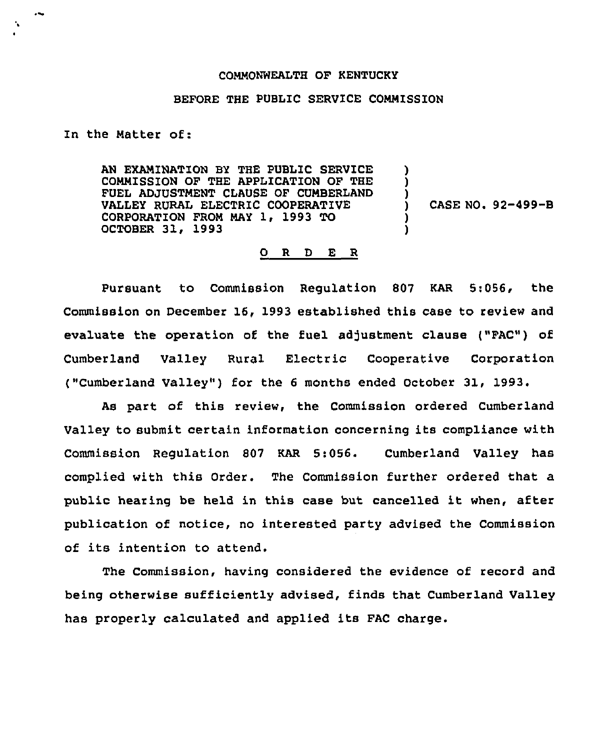## COMMONWEALTH OF KENTUCKY

## BEFORE THE PUBLIC SERVICE COMMISSION

In the Matter of:

AN EXAMINATION BY THE PUBLIC SERVICE COMMISSION OF THE APPLICATION OF THE FUEL ADJUSTMENT CLAUSE OF CUMBERLAND VALLEY RURAL ELECTRIC COOPERATIVE CORPORATION FROM MAY 1, 1993 TO OCTOBER 31, 1993 ) ) ) ) )

) CASE NO <sup>~</sup> 92-499-B

## 0 R <sup>D</sup> E R

Pursuant to Commission Regulation 807 KAR 5:056, the Commission on December 16, 1993 established this case to review and evaluate the operation of the fuel adjustment clause ("FAC") of Cumberland Valley Rural Electric Cooperative Corporation ("Cumberland Valley") for the 6 months ended October 31, 1993.

As part of this review, the Commission ordered Cumberland Valley to submit certain information concerning its compliance with Commission Regulation 807 KAR 5:056. Cumberland Valley has complied with this Order. The Commission further ordered that a public hearing be held in this case but cancelled it when, after publication of notice, no interested party advised the Commission of its intention to attend.

The Commission, having considered the evidence of record and being otherwise sufficiently advised, finds that Cumberland Valley has properly calculated and applied its FAC charge.